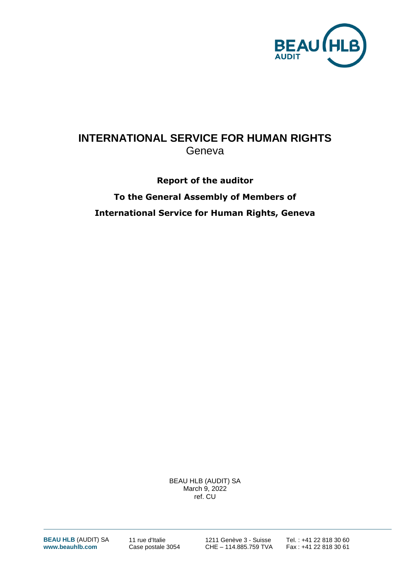

# **INTERNATIONAL SERVICE FOR HUMAN RIGHTS** Geneva

# **Report of the auditor To the General Assembly of Members of International Service for Human Rights, Geneva**

BEAU HLB (AUDIT) SA March 9, 2022 ref. CU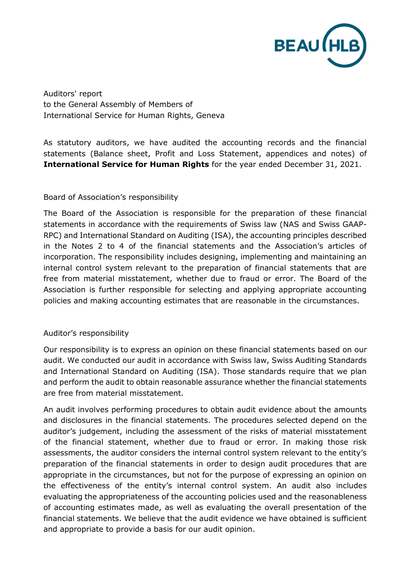

Auditors' report to the General Assembly of Members of International Service for Human Rights, Geneva

As statutory auditors, we have audited the accounting records and the financial statements (Balance sheet, Profit and Loss Statement, appendices and notes) of **International Service for Human Rights** for the year ended December 31, 2021.

### Board of Association's responsibility

The Board of the Association is responsible for the preparation of these financial statements in accordance with the requirements of Swiss law (NAS and Swiss GAAP-RPC) and International Standard on Auditing (ISA), the accounting principles described in the Notes 2 to 4 of the financial statements and the Association's articles of incorporation. The responsibility includes designing, implementing and maintaining an internal control system relevant to the preparation of financial statements that are free from material misstatement, whether due to fraud or error. The Board of the Association is further responsible for selecting and applying appropriate accounting policies and making accounting estimates that are reasonable in the circumstances.

### Auditor's responsibility

Our responsibility is to express an opinion on these financial statements based on our audit. We conducted our audit in accordance with Swiss law, Swiss Auditing Standards and International Standard on Auditing (ISA). Those standards require that we plan and perform the audit to obtain reasonable assurance whether the financial statements are free from material misstatement.

An audit involves performing procedures to obtain audit evidence about the amounts and disclosures in the financial statements. The procedures selected depend on the auditor's judgement, including the assessment of the risks of material misstatement of the financial statement, whether due to fraud or error. In making those risk assessments, the auditor considers the internal control system relevant to the entity's preparation of the financial statements in order to design audit procedures that are appropriate in the circumstances, but not for the purpose of expressing an opinion on the effectiveness of the entity's internal control system. An audit also includes evaluating the appropriateness of the accounting policies used and the reasonableness of accounting estimates made, as well as evaluating the overall presentation of the financial statements. We believe that the audit evidence we have obtained is sufficient and appropriate to provide a basis for our audit opinion.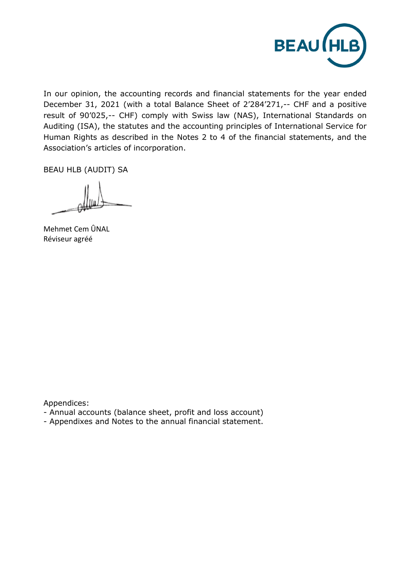

In our opinion, the accounting records and financial statements for the year ended December 31, 2021 (with a total Balance Sheet of 2'284'271,-- CHF and a positive result of 90'025,-- CHF) comply with Swiss law (NAS), International Standards on Auditing (ISA), the statutes and the accounting principles of International Service for Human Rights as described in the Notes 2 to 4 of the financial statements, and the Association's articles of incorporation.

BEAU HLB (AUDIT) SA

Mehmet Cem ÛNAL Réviseur agréé

Appendices:

- Annual accounts (balance sheet, profit and loss account)
- Appendixes and Notes to the annual financial statement.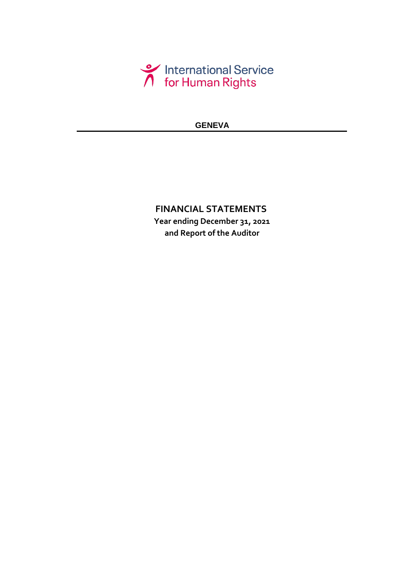

## **GENEVA**

## **and Report of the Auditor FINANCIAL STATEMENTS Year ending December 31, 2021**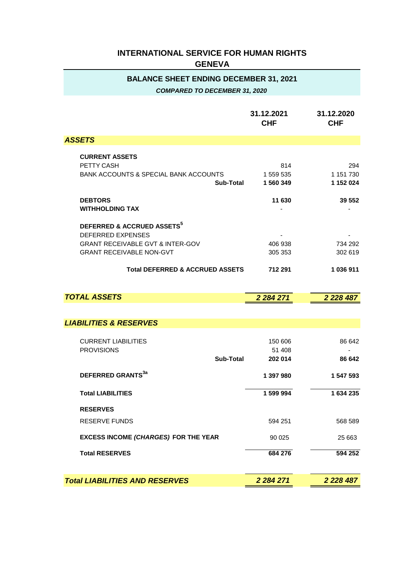| <b>BALANCE SHEET ENDING DECEMBER 31, 2021</b><br><b>COMPARED TO DECEMBER 31, 2020</b>                                                                |                               |                               |  |  |  |  |
|------------------------------------------------------------------------------------------------------------------------------------------------------|-------------------------------|-------------------------------|--|--|--|--|
|                                                                                                                                                      | 31.12.2021<br><b>CHF</b>      | 31.12.2020<br><b>CHF</b>      |  |  |  |  |
| <b>ASSETS</b>                                                                                                                                        |                               |                               |  |  |  |  |
| <b>CURRENT ASSETS</b><br>PETTY CASH<br>BANK ACCOUNTS & SPECIAL BANK ACCOUNTS<br>Sub-Total                                                            | 814<br>1 559 535<br>1 560 349 | 294<br>1 151 730<br>1 152 024 |  |  |  |  |
| <b>DEBTORS</b><br><b>WITHHOLDING TAX</b>                                                                                                             | 11 630                        | 39 552                        |  |  |  |  |
| DEFERRED & ACCRUED ASSETS <sup>5</sup><br><b>DEFERRED EXPENSES</b><br><b>GRANT RECEIVABLE GVT &amp; INTER-GOV</b><br><b>GRANT RECEIVABLE NON-GVT</b> | 406 938<br>305 353            | 734 292<br>302 619            |  |  |  |  |
| <b>Total DEFERRED &amp; ACCRUED ASSETS</b>                                                                                                           | 712 291                       | 1 036 911                     |  |  |  |  |
| <b>TOTAL ASSETS</b>                                                                                                                                  | 2 2 8 4 2 7 1                 | 2 2 2 8 4 8 7                 |  |  |  |  |
| <b>LIABILITIES &amp; RESERVES</b>                                                                                                                    |                               |                               |  |  |  |  |
| <b>CURRENT LIABILITIES</b><br><b>PROVISIONS</b><br>Sub-Total                                                                                         | 150 606<br>51 408<br>202 014  | 86 642<br>86 642              |  |  |  |  |
| DEFERRED GRANTS <sup>3a</sup>                                                                                                                        | 1 397 980                     | 1 547 593                     |  |  |  |  |

|                                                                     | z zo4 zi i                   | Z ZZO 401        |
|---------------------------------------------------------------------|------------------------------|------------------|
|                                                                     |                              |                  |
| <b>LIABILITIES &amp; RESERVES</b>                                   |                              |                  |
| <b>CURRENT LIABILITIES</b><br><b>PROVISIONS</b><br><b>Sub-Total</b> | 150 606<br>51 408<br>202 014 | 86 642<br>86 642 |
| DEFERRED GRANTS <sup>3a</sup>                                       | 1 397 980                    | 1 547 593        |
| <b>Total LIABILITIES</b>                                            | 1 599 994                    | 1 634 235        |
| <b>RESERVES</b><br><b>RESERVE FUNDS</b>                             | 594 251                      | 568 589          |
| <b>EXCESS INCOME (CHARGES) FOR THE YEAR</b>                         | 90 0 25                      | 25 663           |
| <b>Total RESERVES</b>                                               | 684 276                      | 594 252          |
| <b>Total LIABILITIES AND RESERVES</b>                               | 2 2 8 4 2 7 1                | 2 2 2 8 4 8 7    |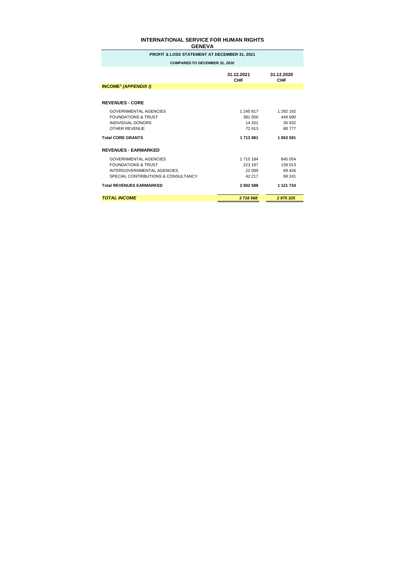| <b>PROFIT &amp; LOSS STATEMENT AT DECEMBER 31, 2021</b>                                                                             |                                          |                                         |  |  |  |  |
|-------------------------------------------------------------------------------------------------------------------------------------|------------------------------------------|-----------------------------------------|--|--|--|--|
| <b>COMPARED TO DECEMBER 31, 2020</b>                                                                                                |                                          |                                         |  |  |  |  |
|                                                                                                                                     | 31.12.2021<br>CHF                        | 31.12.2020<br><b>CHF</b>                |  |  |  |  |
| <b>INCOME<sup>3</sup> (APPENDIX I)</b>                                                                                              |                                          |                                         |  |  |  |  |
|                                                                                                                                     |                                          |                                         |  |  |  |  |
| <b>REVENUES - CORE</b>                                                                                                              |                                          |                                         |  |  |  |  |
| <b>GOVERNMENTAL AGENCIES</b><br><b>FOUNDATIONS &amp; TRUST</b><br>INDIVIDUAL DONORS<br><b>OTHER REVENUE</b>                         | 1 245 817<br>381 050<br>14 201<br>72 913 | 1 292 192<br>449 690<br>30 932<br>80777 |  |  |  |  |
| <b>Total CORE GRANTS</b>                                                                                                            | 1713981                                  | 1853591                                 |  |  |  |  |
| <b>REVENUES - EARMARKED</b>                                                                                                         |                                          |                                         |  |  |  |  |
| <b>GOVERNMENTAL AGENCIES</b><br><b>FOUNDATIONS &amp; TRUST</b><br>INTERGOVERNMENTAL AGENCIES<br>SPECIAL CONTRIBUTIONS & CONSULTANCY | 1 715 184<br>223 187<br>22 000<br>42 217 | 845 054<br>139 013<br>69 4 26<br>68 241 |  |  |  |  |
| <b>Total REVENUES EARMARKED</b>                                                                                                     | 2 002 588                                | 1 121 734                               |  |  |  |  |
| <b>TOTAL INCOME</b>                                                                                                                 | 3716568                                  | 2 975 325                               |  |  |  |  |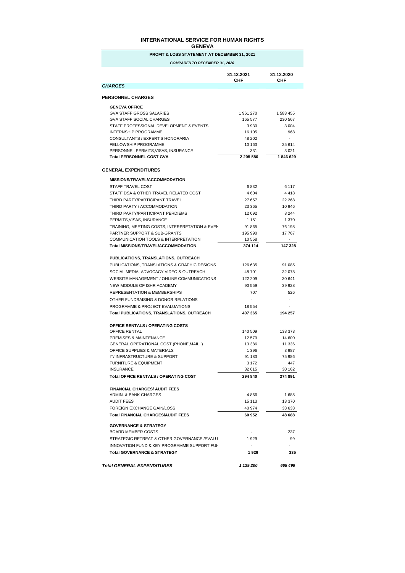| UCNEVA                                                             |                          |                          |  |  |  |  |
|--------------------------------------------------------------------|--------------------------|--------------------------|--|--|--|--|
| PROFIT & LOSS STATEMENT AT DECEMBER 31, 2021                       |                          |                          |  |  |  |  |
| <b>COMPARED TO DECEMBER 31, 2020</b>                               |                          |                          |  |  |  |  |
|                                                                    | 31.12.2021<br>CHF        | 31.12.2020<br><b>CHF</b> |  |  |  |  |
| <i><b>CHARGES</b></i>                                              |                          |                          |  |  |  |  |
| <b>PERSONNEL CHARGES</b>                                           |                          |                          |  |  |  |  |
| <b>GENEVA OFFICE</b>                                               |                          |                          |  |  |  |  |
| <b>GVA STAFF GROSS SALARIES</b><br><b>GVA STAFF SOCIAL CHARGES</b> | 1961270                  | 1 583 455                |  |  |  |  |
| STAFF PROFESSIONAL DEVELOPMENT & EVENTS                            | 165 577<br>3930          | 230 567<br>3 0 0 4       |  |  |  |  |
| INTERNSHIP PROGRAMME                                               | 16 105                   | 968                      |  |  |  |  |
| CONSULTANTS / EXPERT'S HONORARIA                                   | 48 202                   | $\overline{\phantom{a}}$ |  |  |  |  |
| <b>FELLOWSHIP PROGRAMME</b>                                        | 10 163                   | 25 614                   |  |  |  |  |
| PERSONNEL PERMITS, VISAS, INSURANCE                                | 331                      | 3 0 2 1                  |  |  |  |  |
| <b>Total PERSONNEL COST GVA</b>                                    | 2 205 580                | 1846629                  |  |  |  |  |
| <b>GENERAL EXPENDITURES</b>                                        |                          |                          |  |  |  |  |
| MISSIONS/TRAVEL/ACCOMMODATION                                      |                          |                          |  |  |  |  |
| <b>STAFF TRAVEL COST</b>                                           | 6832                     | 6 1 1 7                  |  |  |  |  |
| STAFF DSA & OTHER TRAVEL RELATED COST                              | 4 6 0 4                  | 4418                     |  |  |  |  |
| THIRD PARTY/PARTICIPANT TRAVEL                                     | 27 657                   | 22 268                   |  |  |  |  |
| THIRD PARTY / ACCOMMODATION                                        | 23 3 65                  | 10 946                   |  |  |  |  |
| THIRD PARTY/PARTICIPANT PERDIEMS                                   | 12 092                   | 8 2 4 4                  |  |  |  |  |
| PERMITS.VISAS. INSURANCE                                           | 1 1 5 1                  | 1 370                    |  |  |  |  |
| TRAINING, MEETING COSTS, INTERPRETATION & EVEN                     | 91 865                   | 76 198                   |  |  |  |  |
| <b>PARTNER SUPPORT &amp; SUB-GRANTS</b>                            | 195 990                  | 17767                    |  |  |  |  |
| COMMUNICATION TOOLS & INTERPRETATION                               | 10558                    | $\overline{a}$           |  |  |  |  |
| Total MISSIONS/TRAVEL/ACCOMMODATION                                | 374 114                  | 147 328                  |  |  |  |  |
| PUBLICATIONS, TRANSLATIONS, OUTREACH                               |                          |                          |  |  |  |  |
| PUBLICATIONS, TRANSLATIONS & GRAPHIC DESIGNS                       | 126 635                  | 91 085                   |  |  |  |  |
| SOCIAL MEDIA, ADVOCACY VIDEO & OUTREACH                            | 48 701                   | 32 078                   |  |  |  |  |
| WEBSITE MANAGEMENT / ONLINE COMMUNICATIONS                         | 122 209                  | 30 641                   |  |  |  |  |
| NEW MODULE OF ISHR ACADEMY                                         | 90 559                   | 39 928                   |  |  |  |  |
| <b>REPRESENTATION &amp; MEMBERSHIPS</b>                            | 707                      | 526                      |  |  |  |  |
| OTHER FUNDRAISING & DONOR RELATIONS                                | $\overline{\phantom{a}}$ |                          |  |  |  |  |
| <b>PROGRAMME &amp; PROJECT EVALUATIONS</b>                         | 18 554                   |                          |  |  |  |  |
| <b>Total PUBLICATIONS, TRANSLATIONS, OUTREACH</b>                  | 407 365                  | 194 257                  |  |  |  |  |
| OFFICE RENTALS / OPERATING COSTS                                   |                          |                          |  |  |  |  |
| <b>OFFICE RENTAL</b>                                               | 140 509                  | 138 373                  |  |  |  |  |
| <b>PREMISES &amp; MAINTENANCE</b>                                  | 12 579                   | 14 600                   |  |  |  |  |
| GENERAL OPERATIONAL COST (PHONE.MAIL)                              | 13 386                   | 11 336                   |  |  |  |  |
| OFFICE SUPPLIES & MATERIALS                                        | 1 3 9 6                  | 3 987                    |  |  |  |  |
| IT/INFRASTRUCTURE & SUPPORT                                        | 91 183                   | 75 986                   |  |  |  |  |
| <b>FURNITURE &amp; EQUIPMENT</b>                                   | 3 1 7 2                  | 447<br>30 162            |  |  |  |  |
| <b>INSURANCE</b><br><b>Total OFFICE RENTALS / OPERATING COST</b>   | 32 615<br>294 840        | 274 891                  |  |  |  |  |
|                                                                    |                          |                          |  |  |  |  |
| <b>FINANCIAL CHARGES/ AUDIT FEES</b>                               |                          |                          |  |  |  |  |
| <b>ADMIN. &amp; BANK CHARGES</b>                                   | 4866                     | 1685                     |  |  |  |  |
| <b>AUDIT FEES</b>                                                  | 15 113                   | 13 370                   |  |  |  |  |
| FOREIGN EXCHANGE GAIN/LOSS                                         | 40 974                   | 33 633<br>48 688         |  |  |  |  |
| <b>Total FINANCIAL CHARGES/AUDIT FEES</b>                          | 60 952                   |                          |  |  |  |  |
| <b>GOVERNANCE &amp; STRATEGY</b><br><b>BOARD MEMBER COSTS</b>      |                          | 237                      |  |  |  |  |
| STRATEGIC RETREAT & OTHER GOVERNANCE /EVALU                        | 1929                     | 99                       |  |  |  |  |
| INNOVATION FUND & KEY PROGRAMME SUPPORT FUI                        | $\sim$                   |                          |  |  |  |  |
| <b>Total GOVERNANCE &amp; STRATEGY</b>                             | 1929                     | 335                      |  |  |  |  |
| <b>Total GENERAL EXPENDITURES</b>                                  | 1 139 200                | 665 499                  |  |  |  |  |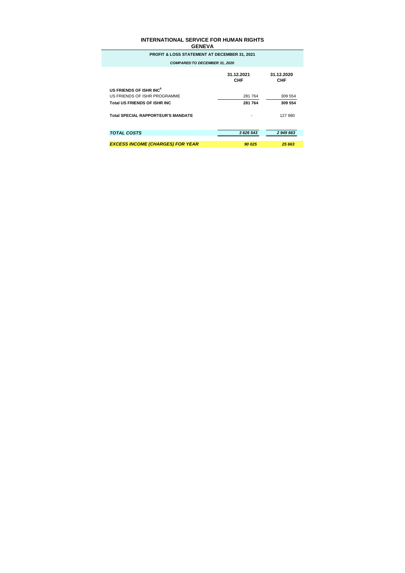| ------                                                  |                          |                   |  |  |  |
|---------------------------------------------------------|--------------------------|-------------------|--|--|--|
| <b>PROFIT &amp; LOSS STATEMENT AT DECEMBER 31, 2021</b> |                          |                   |  |  |  |
| <b>COMPARED TO DECEMBER 31, 2020</b>                    |                          |                   |  |  |  |
|                                                         | 31.12.2021<br><b>CHF</b> | 31.12.2020<br>CHF |  |  |  |
| US FRIENDS OF ISHR INC <sup>6</sup>                     |                          |                   |  |  |  |
| US FRIENDS OF ISHR PROGRAMME                            | 281 764                  | 309 554           |  |  |  |
| <b>Total US FRIENDS OF ISHR INC</b>                     | 281 764                  | 309 554           |  |  |  |
| <b>Total SPECIAL RAPPORTEUR'S MANDATE</b>               |                          | 127 980           |  |  |  |
| <b>TOTAL COSTS</b>                                      | 3 626 543                | 2 949 663         |  |  |  |
| <b>EXCESS INCOME (CHARGES) FOR YEAR</b>                 | 90 025                   | 25 663            |  |  |  |
|                                                         |                          |                   |  |  |  |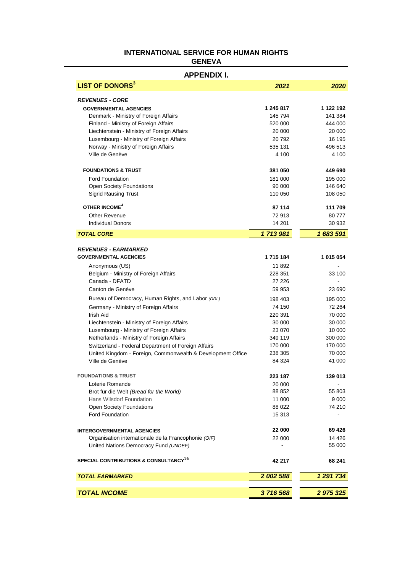### **LIST OF DONORS<sup>3</sup>** *2021 2020 REVENUES - CORE* **GOVERNMENTAL AGENCIES 1 245 817 1 122 192** Denmark - Ministry of Foreign Affairs 145 145 794 145 794 Finland - Ministry of Foreign Affairs 620 000 520 000 444 000 Liechtenstein - Ministry of Foreign Affairs 20 000 20 000 Luxembourg - Ministry of Foreign Affairs 195 16 195 Norway - Ministry of Foreign Affairs 535 131 496 513 Ville de Genève 4 100 4 100 **FOUNDATIONS & TRUST 381 050 449 690** Ford Foundation 181 000 195 000 Open Society Foundations **640 146 640 146 640** Sigrid Rausing Trust 110 050 108 050 **OTHER INCOME<sup>4</sup> 87 114 111 709** Other Revenue 2001 2012 12:30 12:30 12:30 12:30 12:30 12:30 12:30 12:30 12:30 12:30 12:30 12:30 12:30 12:30 12:30 12:30 12:30 12:30 12:30 12:30 12:30 12:30 12:30 12:30 12:30 12:30 12:30 12:30 12:30 12:30 12:30 12:30 12:30 Individual Donors 14 201 30 932 *TOTAL CORE 1 713 981 1 683 591 REVENUES - EARMARKED* **GOVERNMENTAL AGENCIES 1 715 184 1 015 054** Anonymous (US) 11 892 Belgium - Ministry of Foreign Affairs 228 351 33 100 Canada - DFATD 27 226 - Canton de Genève 59 953 23 690 Bureau of Democracy, Human Rights, and Labor *(DRL)* 198 403 195 000 Germany - Ministry of Foreign Affairs 74 150 72 264 Irish Aid 220 391 70 000 Liechtenstein - Ministry of Foreign Affairs 30 000 30 000 30 000 30 000 Luxembourg - Ministry of Foreign Affairs 23 070 23 070 Netherlands - Ministry of Foreign Affairs 349 119 300 000 349 119 Switzerland - Federal Department of Foreign Affairs 170 000 170 000 170 000 United Kingdom - Foreign, Commonwealth & Development Office 238 305 70 000 Ville de Genève de Sant 1900 de Sant 1900 de la second de la second de la second de la second de la second de la second de la second de la second de la second de la second de la second de la second de la second de la secon **FOUNDATIONS & TRUST 223 187 139 013** Loterie Romande 20 000 Brot für die Welt *(Bread for the World)* 88 852 55 803 Hans Wilsdorf Foundation 11 000 9 000 Open Society Foundations **88 022** 74 210 Ford Foundation **15 313 INTERGOVERNMENTAL AGENCIES 22 000 69 426** Organisation internationale de la Francophonie *(OIF)* 22 000 14 426 United Nations Democracy Fund *(UNDEF)* - 55 000 **SPECIAL CONTRIBUTIONS & CONSULTANCY3a 42 217 68 241** *TOTAL EARMARKED 2 002 588 1 291 734 TOTAL INCOME 3 716 568 2 975 325* **APPENDIX I.**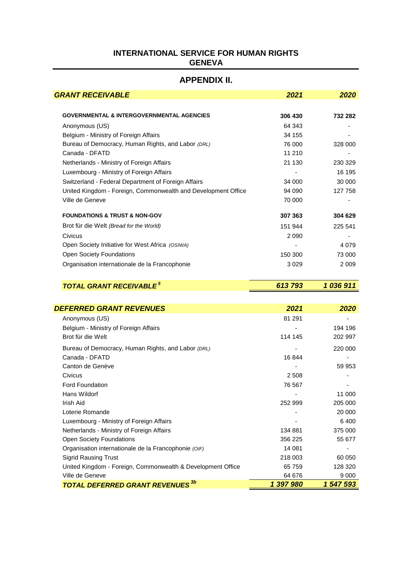## **APPENDIX II.**

| <b>GRANT RECEIVABLE</b>                                       | 2021    | 2020    |  |
|---------------------------------------------------------------|---------|---------|--|
|                                                               |         |         |  |
| <b>GOVERNMENTAL &amp; INTERGOVERNMENTAL AGENCIES</b>          | 306 430 | 732 282 |  |
| Anonymous (US)                                                | 64 343  |         |  |
| Belgium - Ministry of Foreign Affairs                         | 34 155  |         |  |
| Bureau of Democracy, Human Rights, and Labor (DRL)            | 76 000  | 328 000 |  |
| Canada - DFATD                                                | 11 210  | ۰       |  |
| Netherlands - Ministry of Foreign Affairs                     | 21 130  | 230 329 |  |
| Luxembourg - Ministry of Foreign Affairs                      |         | 16 195  |  |
| Switzerland - Federal Department of Foreign Affairs           | 34 000  | 30 000  |  |
| United Kingdom - Foreign, Commonwealth and Development Office | 94 090  | 127 758 |  |
| Ville de Geneve                                               | 70 000  |         |  |
| <b>FOUNDATIONS &amp; TRUST &amp; NON-GOV</b>                  | 307 363 | 304 629 |  |
| Brot für die Welt (Bread for the World)                       | 151 944 | 225 541 |  |
| Civicus                                                       | 2 0 9 0 | ۰       |  |
| Open Society Initiative for West Africa (OSIWA)               |         | 4 0 7 9 |  |
| <b>Open Society Foundations</b>                               | 150 300 | 73 000  |  |
| Organisation internationale de la Francophonie                | 3029    | 2 0 0 9 |  |

|--|

| <b>DEFERRED GRANT REVENUES</b>                              | 2021      | 2020      |
|-------------------------------------------------------------|-----------|-----------|
| Anonymous (US)                                              | 81 291    |           |
| Belgium - Ministry of Foreign Affairs                       |           | 194 196   |
| Brot für die Welt                                           | 114 145   | 202 997   |
| Bureau of Democracy, Human Rights, and Labor (DRL)          |           | 220 000   |
| Canada - DFATD                                              | 16844     |           |
| Canton de Genève                                            |           | 59 953    |
| Civicus                                                     | 2 5 0 8   |           |
| <b>Ford Foundation</b>                                      | 76 567    |           |
| Hans Wildorf                                                |           | 11 000    |
| Irish Aid                                                   | 252 999   | 205 000   |
| Loterie Romande                                             |           | 20 000    |
| Luxembourg - Ministry of Foreign Affairs                    |           | 6400      |
| Netherlands - Ministry of Foreign Affairs                   | 134 881   | 375 000   |
| <b>Open Society Foundations</b>                             | 356 225   | 55 677    |
| Organisation internationale de la Francophonie (OIF)        | 14 081    |           |
| <b>Sigrid Rausing Trust</b>                                 | 218 003   | 60 050    |
| United Kingdom - Foreign, Commonwealth & Development Office | 65 759    | 128 320   |
| Ville de Geneve                                             | 64 676    | 9 0 0 0   |
| <b>TOTAL DEFERRED GRANT REVENUES</b>                        | 1 397 980 | 1 547 593 |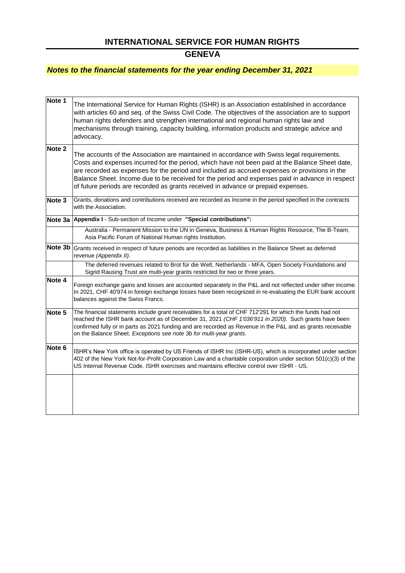## **GENEVA**

### *Notes to the financial statements for the year ending December 31, 2021*

| Note 1            | The International Service for Human Rights (ISHR) is an Association established in accordance<br>with articles 60 and seq. of the Swiss Civil Code. The objectives of the association are to support<br>human rights defenders and strengthen international and regional human rights law and<br>mechanisms through training, capacity building, information products and strategic advice and<br>advocacy.                                                                             |
|-------------------|-----------------------------------------------------------------------------------------------------------------------------------------------------------------------------------------------------------------------------------------------------------------------------------------------------------------------------------------------------------------------------------------------------------------------------------------------------------------------------------------|
| Note <sub>2</sub> | The accounts of the Association are maintained in accordance with Swiss legal requirements.<br>Costs and expenses incurred for the period, which have not been paid at the Balance Sheet date,<br>are recorded as expenses for the period and included as accrued expenses or provisions in the<br>Balance Sheet. Income due to be received for the period and expenses paid in advance in respect<br>of future periods are recorded as grants received in advance or prepaid expenses. |
| Note <sub>3</sub> | Grants, donations and contributions received are recorded as Income in the period specified in the contracts<br>with the Association.                                                                                                                                                                                                                                                                                                                                                   |
|                   | Note 3a Appendix I - Sub-section of Income under "Special contributions":                                                                                                                                                                                                                                                                                                                                                                                                               |
|                   | Australia - Permanent Mission to the UN in Geneva, Business & Human Rights Resource, The B-Team,<br>Asia Pacific Forum of National Human rights Institution.                                                                                                                                                                                                                                                                                                                            |
| Note 3b           | Grants received in respect of future periods are recorded as liabilities in the Balance Sheet as deferred<br>revenue (Appendix II).                                                                                                                                                                                                                                                                                                                                                     |
|                   | The deferred revenues related to Brot für die Welt, Netherlands - MFA, Open Society Foundations and<br>Sigrid Rausing Trust are multi-year grants restricted for two or three years.                                                                                                                                                                                                                                                                                                    |
| Note 4            | Foreign exchange gains and losses are accounted separately in the P&L and not reflected under other income.<br>In 2021, CHF 40'974 in foreign exchange losses have been recognized in re-evaluating the EUR bank account<br>balances against the Swiss Francs.                                                                                                                                                                                                                          |
| Note 5            | The financial statements include grant receivables for a total of CHF 712'291 for which the funds had not<br>reached the ISHR bank account as of December 31, 2021 (CHF 1'036'911 in 2020). Such grants have been<br>confirmed fully or in parts as 2021 funding and are recorded as Revenue in the P&L and as grants receivable<br>on the Balance Sheet. Exceptions see note 3b for multi-year grants.                                                                                 |
| Note 6            | ISHR's New York office is operated by US Friends of ISHR Inc (ISHR-US), which is incorporated under section<br>402 of the New York Not-for-Profit Corporation Law and a charitable corporation under section 501(c)(3) of the<br>US Internal Revenue Code. ISHR exercises and maintains effective control over ISHR - US.                                                                                                                                                               |
|                   |                                                                                                                                                                                                                                                                                                                                                                                                                                                                                         |